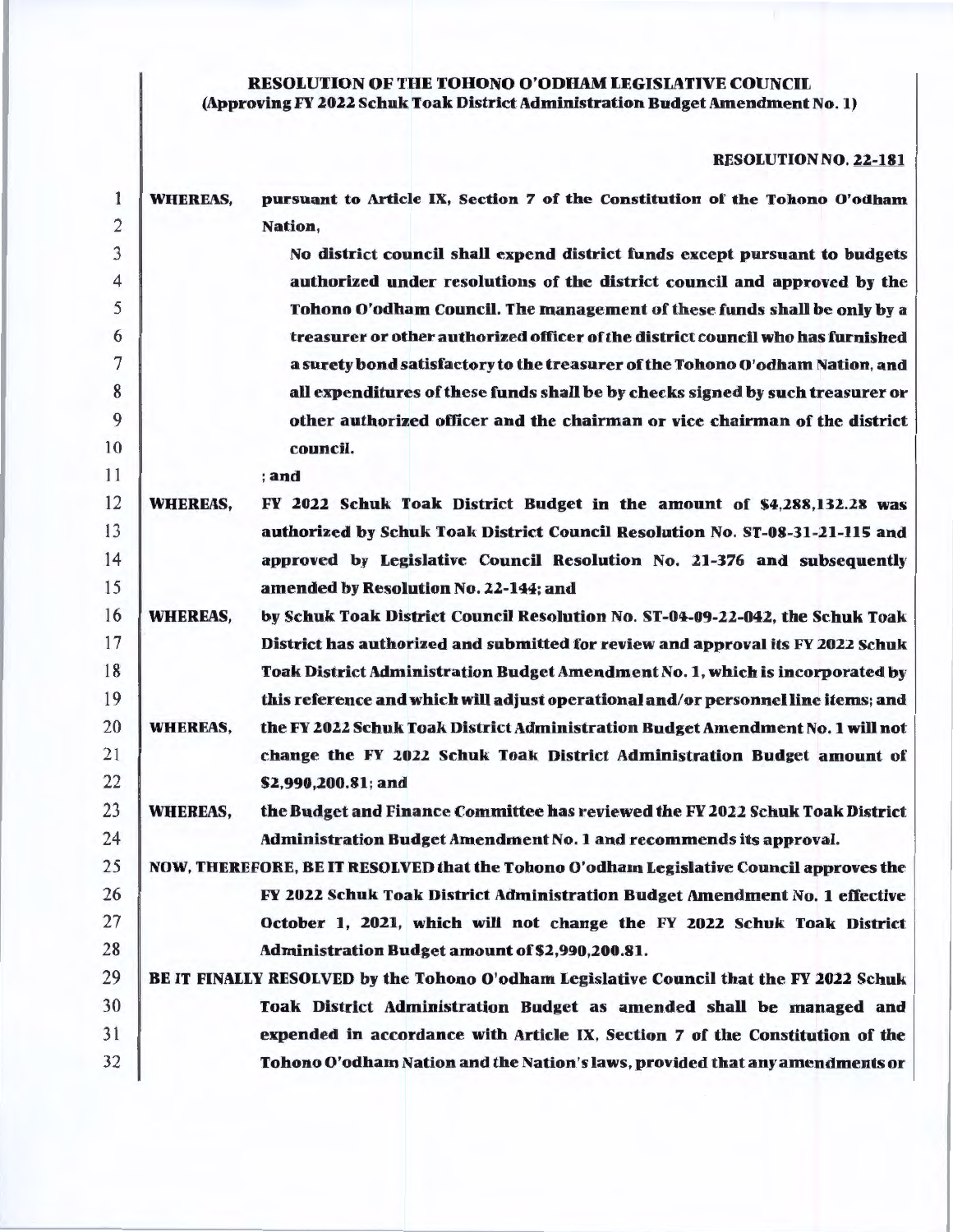# RESOLUTION OF THE TOHONO O'ODHAM LEGISLATIVE COUNCIL (Approving FY 2022 Schuk Toak District Administration Budget Amendment No. 1)

### RESOLUTION NO. 22-181

| 1              | <b>WHEREAS,</b> | pursuant to Article IX, Section 7 of the Constitution of the Tohono O'odham             |
|----------------|-----------------|-----------------------------------------------------------------------------------------|
| $\overline{2}$ |                 | Nation,                                                                                 |
| 3              |                 | No district council shall expend district funds except pursuant to budgets              |
| $\overline{4}$ |                 | authorized under resolutions of the district council and approved by the                |
| 5              |                 | Tohono O'odham Council. The management of these funds shall be only by a                |
| 6              |                 | treasurer or other authorized officer of the district council who has furnished         |
| 7              |                 | a surety bond satisfactory to the treasurer of the Tohono O'odham Nation, and           |
| 8              |                 | all expenditures of these funds shall be by checks signed by such treasurer or          |
| 9              |                 | other authorized officer and the chairman or vice chairman of the district              |
| 10             |                 | council.                                                                                |
| 11             |                 | ; and                                                                                   |
| 12             | <b>WHEREAS,</b> | FY 2022 Schuk Toak District Budget in the amount of \$4,288,132.28 was                  |
| 13             |                 | authorized by Schuk Toak District Council Resolution No. ST-08-31-21-115 and            |
| 14             |                 | approved by Legislative Council Resolution No. 21-376 and subsequently                  |
| 15             |                 | amended by Resolution No. 22-144; and                                                   |
| 16             | <b>WHEREAS,</b> | by Schuk Toak District Council Resolution No. ST-04-09-22-042, the Schuk Toak           |
| 17             |                 | District has authorized and submitted for review and approval its FY 2022 Schuk         |
| 18             |                 | Toak District Administration Budget Amendment No. 1, which is incorporated by           |
| 19             |                 | this reference and which will adjust operational and/or personnel line items; and       |
| 20             | <b>WHEREAS,</b> | the FY 2022 Schuk Toak District Administration Budget Amendment No. 1 will not          |
| 21             |                 | change the FY 2022 Schuk Toak District Administration Budget amount of                  |
| 22             |                 | \$2,990,200.81; and                                                                     |
| 23             | <b>WHEREAS,</b> | the Budget and Finance Committee has reviewed the FY 2022 Schuk Toak District           |
| 24             |                 | Administration Budget Amendment No. 1 and recommends its approval.                      |
| 25             |                 | NOW, THEREFORE, BE IT RESOLVED that the Tohono O'odham Legislative Council approves the |
| 26             |                 | FY 2022 Schuk Toak District Administration Budget Amendment No. 1 effective             |
| 27             |                 | October 1, 2021, which will not change the FY 2022 Schuk Toak District                  |
| 28             |                 | Administration Budget amount of \$2,990,200.81.                                         |
| 29             |                 | BE IT FINALLY RESOLVED by the Tohono O'odham Legislative Council that the FY 2022 Schuk |
| 30             |                 | Toak District Administration Budget as amended shall be managed and                     |
| 31             |                 | expended in accordance with Article IX, Section 7 of the Constitution of the            |
|                |                 |                                                                                         |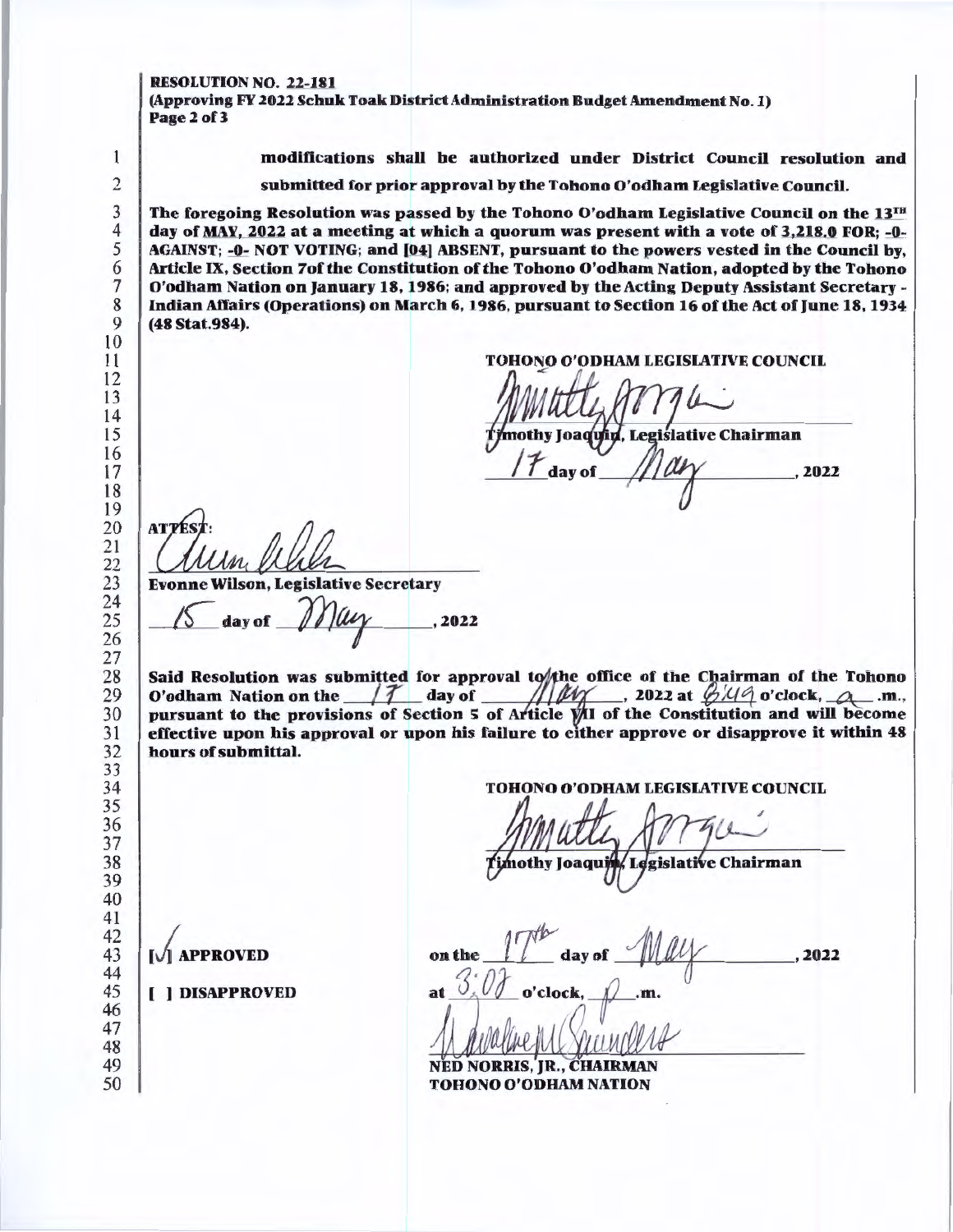#### RESOLUTION NO. 22-181

  (Approving FY 2022 Schuk Toak District Administration Budget Amendment No. I) Page 2 of 3

modifications shall be authorized under District Council resolution and

TOHONO O'ODHAM LEGISLATIVE COUNCIL &

nothy Joaquin, Legislative Chairman

 $\frac{1100}{2022}$ 

submitted for prior approval by the Tohono O' odham Legislative Council.

 The foregoing Resolution was passed by the Tohono O'odham Legislative Council on the 13TH day of MAY, 2022 at a meeting at which a quorum was present with a vote of 3,218.0 FOR; -0- AGAINST; =O- NOT VOTING; and (04) ABSENT, pursuant to the powers vested in the Council by, Article IX, Section 7of the Constitution of the Tohono O'odham Nation, adopted by the Tohono O'odbam Nation on January 18, 1986; and approved by the Acting Deputy Assistant Secretary - Indian Affairs (Operations) on March 6, 1986, pursuant to Section 16 of the Act of June 18, 1934 (48 Stat.984). AT'T Evonne Wilson, Legislative Secretary<br>  $\sqrt{2}$  day of  $\mathcal{M}\mu$  . 2022 hours of submittal. **[V] APPROVED**  ( ] DISAPPROVED 

Said Resolution was submitted for approval to the office of the Chairman of the Tohono O'odham Nation on the  $\frac{1}{\sqrt{2}}$  day of  $\frac{1}{\sqrt{2}}$ , 2022 at  $\frac{\frac{1}{2}(\frac{1}{4}a)^2}{\frac{1}{2}(\frac{1}{4}a)^2}$  o'clock,  $\frac{1}{\sqrt{2}}$ .m., pursuant to the provisions of Section 5 of Article  $\hat{y}$ II of the Constitution and will become effective upon his approval or upon his failure to either approve or disapprove it within 48 TOHONO O'ODHAM LEGISLATIVE COUNCIL Legislative Chairman nothy Joaqui ,2022 o'clock.

NED NORRIS, JR., CHAIRMAN TOHONO O'ODHAM NATION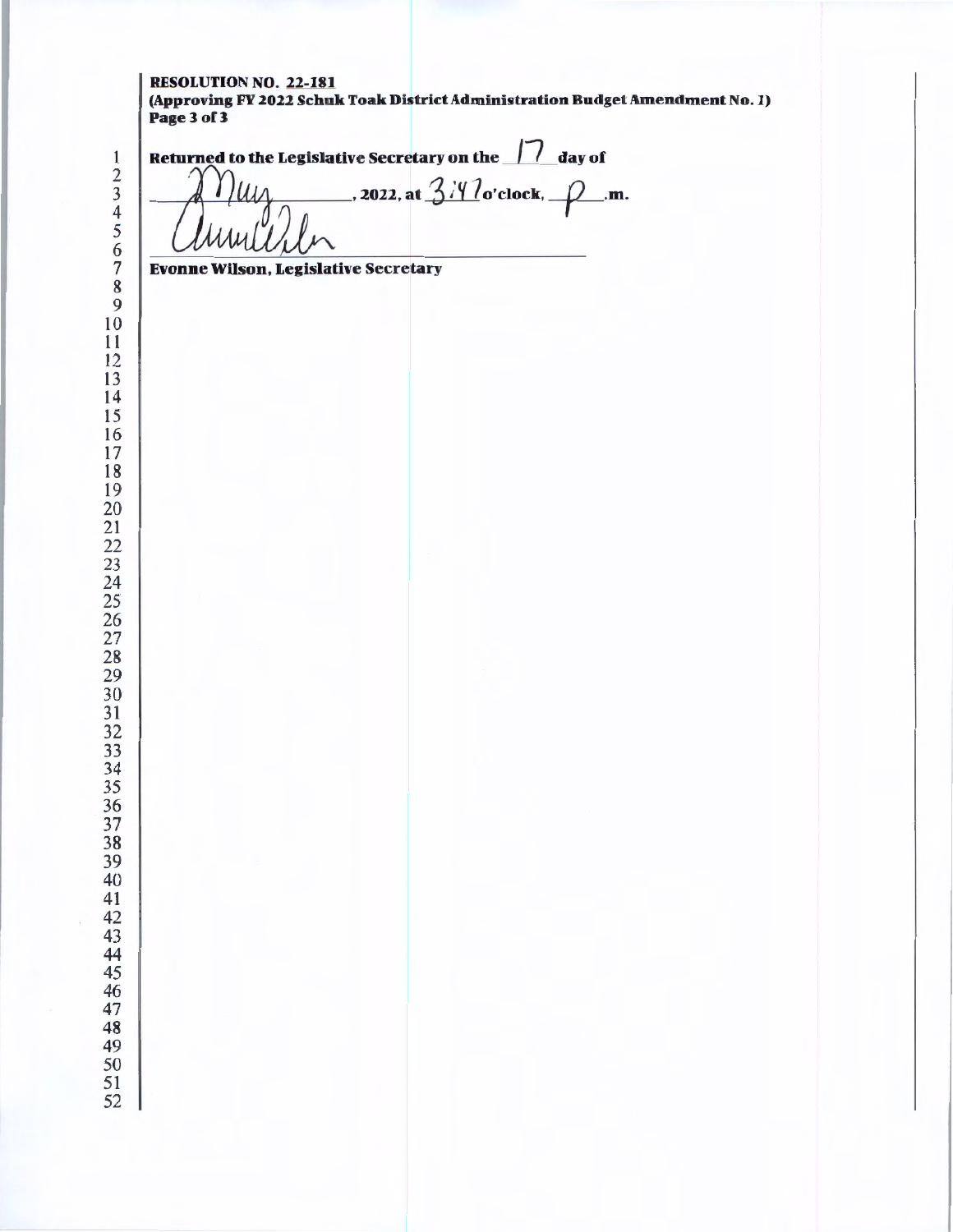# RESOLUTION NO. 22-181

(Approving FY 2022 Schuk Toak District Administration Budget Amendment No. I) Page 3 of 3

 

Returned to the Legislative Secretary on the 11 day of<br> $\bigcap_{k} U_{\mathcal{U}}$  , 2022, at  $3/10$  o'clock,  $\bigcap_{k}$ .m.

7 Evonne Wilson, Legislative Secretary